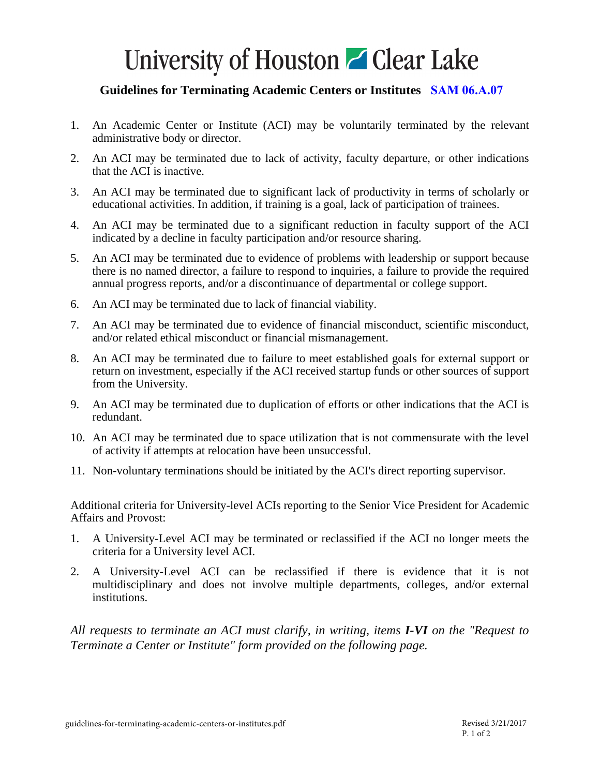## University of Houston **C** Clear Lake

### **Guidelines for Terminating Academic Centers or Institutes [SAM 06.A.07](http://www.uh.edu/af/universityservices/policies/sam/6AcadmicAffairs/6A7.pdf)**

- 1. An Academic Center or Institute (ACI) may be voluntarily terminated by the relevant administrative body or director.
- 2. An ACI may be terminated due to lack of activity, faculty departure, or other indications that the ACI is inactive.
- 3. An ACI may be terminated due to significant lack of productivity in terms of scholarly or educational activities. In addition, if training is a goal, lack of participation of trainees.
- 4. An ACI may be terminated due to a significant reduction in faculty support of the ACI indicated by a decline in faculty participation and/or resource sharing.
- 5. An ACI may be terminated due to evidence of problems with leadership or support because there is no named director, a failure to respond to inquiries, a failure to provide the required annual progress reports, and/or a discontinuance of departmental or college support.
- 6. An ACI may be terminated due to lack of financial viability.
- 7. An ACI may be terminated due to evidence of financial misconduct, scientific misconduct, and/or related ethical misconduct or financial mismanagement.
- 8. An ACI may be terminated due to failure to meet established goals for external support or return on investment, especially if the ACI received startup funds or other sources of support from the University.
- 9. An ACI may be terminated due to duplication of efforts or other indications that the ACI is redundant.
- 10. An ACI may be terminated due to space utilization that is not commensurate with the level of activity if attempts at relocation have been unsuccessful.
- 11. Non-voluntary terminations should be initiated by the ACI's direct reporting supervisor.

Additional criteria for University-level ACIs reporting to the Senior Vice President for Academic Affairs and Provost:

- 1. A University-Level ACI may be terminated or reclassified if the ACI no longer meets the criteria for a University level ACI.
- 2. A University-Level ACI can be reclassified if there is evidence that it is not multidisciplinary and does not involve multiple departments, colleges, and/or external institutions.

*All requests to terminate an ACI must clarify, in writing, items I-VI on the "Request to Terminate a Center or Institute" form provided on the following page.*